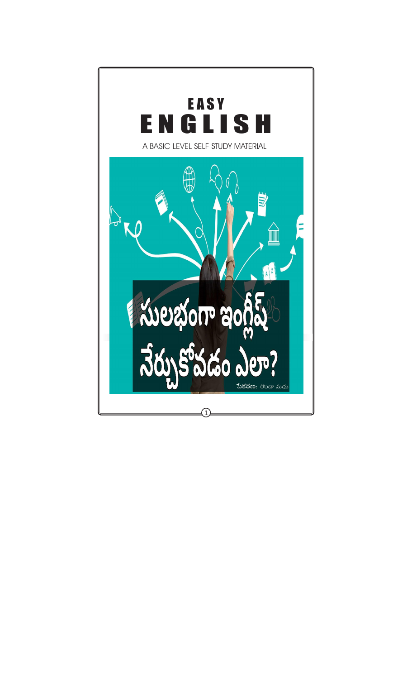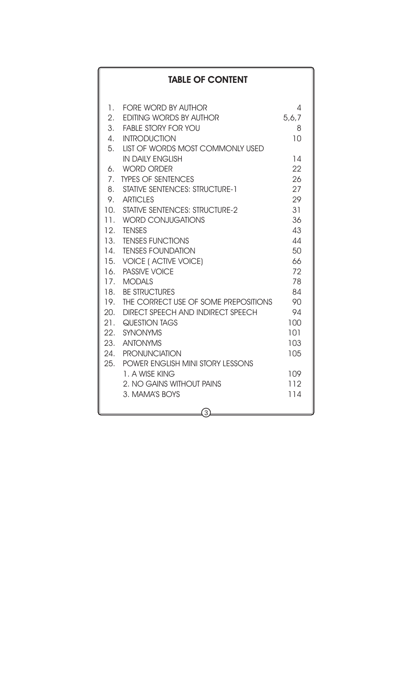## **TABLE OF CONTENT**

| 1.              | <b>FORE WORD BY AUTHOR</b>               | 4     |
|-----------------|------------------------------------------|-------|
| 2.              | <b>EDITING WORDS BY AUTHOR</b>           | 5,6,7 |
| 3.              | <b>FABLE STORY FOR YOU</b>               | 8     |
| $\mathcal{A}$ . | <b>INTRODUCTION</b>                      | 10    |
| 5.              | <b>LIST OF WORDS MOST COMMONLY USED</b>  |       |
|                 | <b>IN DAILY ENGLISH</b>                  | 14    |
|                 | 6. WORD ORDER                            | 22    |
| 7 <sub>1</sub>  | <b>TYPES OF SENTENCES</b>                | 26    |
| 8.              | <b>STATIVE SENTENCES: STRUCTURE-1</b>    | 27    |
|                 | 9. ARTICLES                              | 29    |
|                 | 10. STATIVE SENTENCES: STRUCTURE-2       | 31    |
|                 | 11. WORD CONJUGATIONS                    | 36    |
| 12.             | <b>TENSES</b>                            | 43    |
|                 | 13. TENSES FUNCTIONS                     | 44    |
|                 | 14. TENSES FOUNDATION                    | 50    |
|                 | 15. VOICE (ACTIVE VOICE)                 | 66    |
|                 | 16. PASSIVE VOICE                        | 72    |
|                 | 17. MODALS                               | 78    |
|                 | 18. BE STRUCTURES                        | 84    |
|                 | 19. THE CORRECT USE OF SOME PREPOSITIONS | 90    |
| 20.             | <b>DIRECT SPEECH AND INDIRECT SPEECH</b> | 94    |
|                 | 21. QUESTION TAGS                        | 100   |
| 22.             | <b>SYNONYMS</b>                          | 101   |
|                 | 23. ANTONYMS                             | 103   |
|                 | 24. PRONUNCIATION                        | 105   |
|                 | 25. POWER ENGLISH MINI STORY LESSONS     |       |
|                 | 1. A WISE KING                           | 109   |
|                 | 2. NO GAINS WITHOUT PAINS                | 112   |
|                 | 3. MAMA'S BOYS                           | 114   |
|                 |                                          |       |
|                 | 3,                                       |       |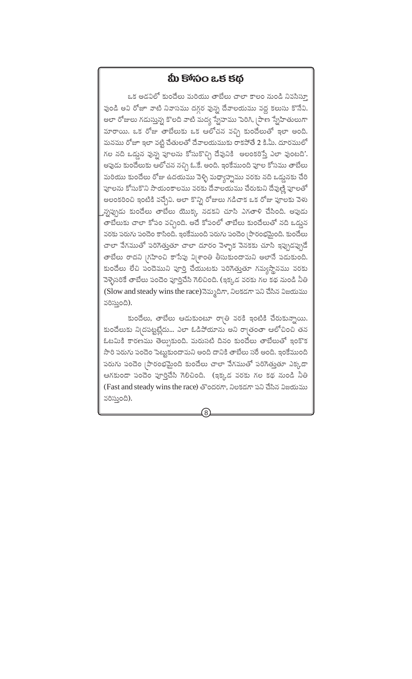## మీ కోశనం ఒక కథ

ఒక అడవిలో కుందేలు మరియు తాబేలు చాలా కాలం నుండి నివసిస్తూ వుండి అవి రోజూ వాటి నివాసము దగ్గర వున్న దేవాలయము వద్ద కలుసు కొనేవి. అలా రోజులు గడుస్తున్న కొలది వాటి మద్య స్నేహము పెరిగి, [పాణ స్నేహితులుగా మారాయి. ఒక రోజు తాబేలుకు ఒక ఆలోచన వచ్చి కుందేలుతో ఇలా అంది. మనము రోజూ ఇలా వట్టి చేతులతో దేవాలయముకు రాకపోతే 2 కి.మీ. దూరములో గల నది ఒడ్డున వున్న పూలను కోసుకొచ్చి దేవునికి అలంకరిస్తే ఎలా వుంటది'. అఫుడు కుందేలుకు ఆలోచన నచ్చి ఓ.కే. అంది. ఇంకేముంది ఫూల కోసము తాబేలు మరియు కుందేలు రోజు ఉదయము వెళ్ళి మధ్యాహ్నము వరకు నది ఒడ్డునకు చేరి ఫూలను కోసుకొని సాయంకాలము వరకు దేవాలయము చేరుకుని దేవుణ్ణి పూలతో అలంకరించి ఇంటికి వచ్చేవి. అలా కొన్ని రోజులు గడిచాక ఒక రోజు పూలకు వెళు <sub>"</sub>న్నప్పుడు కుందేలు తాబేలు యొక్క నడకని చూసి ఎగతాళి చేసింది. అపుడు తాబేలుకు చాలా కోపం వచ్చింది. అదే కోపంలో తాబేలు కుందేలుతో నది ఒడుౖన వరకు పరుగు పందెం కాసింది. ఇంకేముంది పరుగు పందెం (పారంభమైంది. కుందేలు చాలా వేగముతో పరిగెత్తుతూ చాలా దూరం వెళ్ళాక వెనకకు చూసి ఇప్పుడప్పుడే తాబేలు రాదని (గహించి కాసేపు వి(శాంతి తీసుకుందామని అలానే పడుకుంది. కుందేలు లేచి పందెముని పూర్తి చేయుటకు పరిగెత్తుతూ గమ్యస్థానము వరకు వెళ్ళెసరికే తాబేలు పందెం పూర్తిచేసి గెలిచింది. (ఇక్కడ వరకు గల కథ నుండి నీతి (Slow and steady wins the race) నెమ్మదిగా, నిలకడగా పని చేసిన విజయము వరిస్తుంది).

కుందేలు, తాబేలు ఆడుకుంటూ రా(తి వరకి ఇంటికి చేరుకున్నాయి. కుందేలుకు ని(దపట్టట్లేదు... ఎలా ఓడిపోయాను అని రా|తంతా ఆలోచించి తన ఓటమికి కారణము తెల్పుకుంది. మరుసటి దినం కుందేలు తాబేలుతో ఇంకొక సారి పరుగు పందెం పెట్టుకుందామని అంది దానికి తాబేలు సరే అంది. ఇంకేముంది పరుగు పందెం (పారంభమైంది కుందేలు చాలా వేగముతో పరిగెత్తుతూ ఎక్కడా ఆగకుండా పందెం పూర్తిచేసి గెలిచింది. (ఇక్కడ వరకు గల కథ నుండి నీతి (Fast and steady wins the race) తొందరగా, నిలకడగా పని చేసిన విజయము వరిస్తుంది).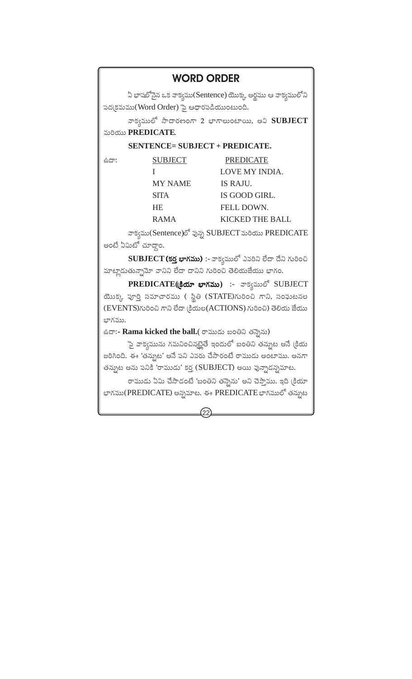# **WORD ORDER**

ఏ భాషలోనైన ఒక వాక్వము(Sentence) యొక్క అర్థము ఆ వాక్వములోని పద(కమము(Word Order) పై ఆధారపడియుంటుంది.

వాక్వములో సాదారణంగా 2 భాగాలుంటాయి, అవి SUBJECT మరియు PREDICATE.

#### **SENTENCE= SUBJECT + PREDICATE.**

| ರ್ಹಿ: | <b>SUBJECT</b> | <b>PREDICATE</b> |
|-------|----------------|------------------|
|       |                | LOVE MY INDIA.   |
|       | <b>MY NAME</b> | IS RAJU.         |
|       | <b>SITA</b>    | IS GOOD GIRL.    |
|       | HE.            | FELL DOWN.       |
|       | <b>RAMA</b>    | KICKED THE BALL  |

వాక్వము(Sentence)లో వున్న SUBJECT మరియు PREDICATE అంటే ఏమిటో చూదాం.

 $SUBJECT$  (కర్త భాగము):- వాక్వములో ఎవరిని లేదా దేని గురించి మాట్లాడుతున్నామో వానిని లేదా దానిని గురించి తెలియజేయు భాగం.

PREDICATE(Sar with ) :- వాక్వములో SUBJECT యొక్క పూర్తి సమాచారము ( స్థితి (STATE)గురించి గాని, సంఘటనల (EVENTS) గురించి గాని లేదా (కియల (ACTIONS) గురించి) తెలియ జేయు బాగము.

ఉదా:- Rama kicked the ball.( రాముడు బంతిని తన్నెను)

పై వాక్వమును గమనించినటైతే ఇందులో బంతిని తన్నుట అనే (కియ జరిగింది. ఈ 'తన్నుట' అనే పని ఎవరు చేసారంటే రాముడు అంటాము. అనగా తన్నుట అను పనికి 'రాముడు' కర్త (SUBJECT) అయి వున్నాడన్నమాట.

రాముడు ఏమి చేసాడంటే 'బంతిని తన్నెను' అని చెప్తాము. ఇది (కియా భాగము(PREDICATE) అన్నమాట. ఈ PREDICATE భాగములో తన్నుట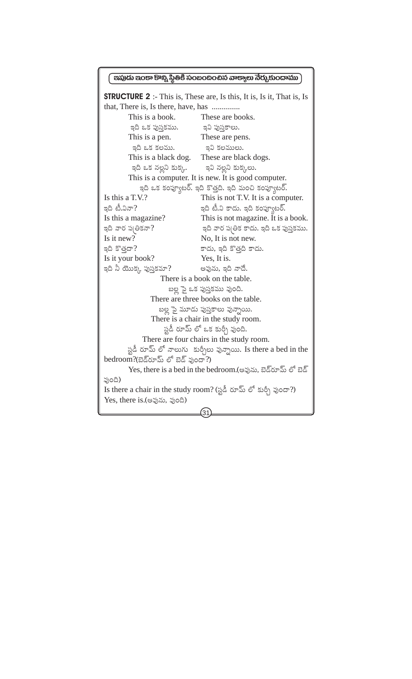#### පකුරක පුරපං පිංහු ර්මීපී තිරි තිරි තිරි තුප ලො බිරා,ජාර්ගන්

**STRUCTURE 2** :- This is, These are, Is this, It is, Is it, That is, Is This is a book. These are books. ఇవి పుస్తకాలు. ఇది ఒక పుస్తకము. These are pens. This is a pen. ఇది ఒక కలము. ఇవి కలములు. This is a black dog. These are black dogs. ఇది ఒక నల్లని కుక్క. ఇవి నల్లని కుక్కలు. This is a computer. It is new. It is good computer. ఇది ఒక కంప్యూటర్. ఇది కొత్తది. ఇది మంచి కంప్యూటర్. This is not T.V. It is a computer. Is this a T.V.? ఇది టీ.వినా? ఇది టీ.వి కాదు. ఇది కంప్యూటర్. Is this a magazine? This is not magazine. It is a book. ఇది వార ప|తికనా? ఇది వార ప్రతిక కాదు. ఇది ఒక పుస్తకము. Is it new? No, It is not new. ఇది కొత్తదా? కాదు, ఇది కొత్తది కాదు. Is it your book? Yes. It is. ఇది నీ యొక్క పుస్తకమా? అవును, ఇది నాదే. There is a book on the table. బల్ల పై ఒక పుస్తకము వుంది. There are three books on the table. బల్ల పై మూడు పుస్తకాలు వున్నాయి. There is a chair in the study room. స్టడీ రూమ్ లో ఒక కుర్చీ వుంది. There are four chairs in the study room. స్టడీ రూమ్ లో నాలుగు కుర్చీలు వున్నాయి. Is there a bed in the bedroom?(బెడ్రూమ్ లో బెడ్ ఫుందా?) Yes, there is a bed in the bedroom.(అఫును, బెడ్రూమ్ లో బెడ్ ఫుంది) Is there a chair in the study room? (స్టడీ రూమ్ లో కుర్చీ వుందా?) Yes, there is.(అవును, వుంది)  $\overline{31}$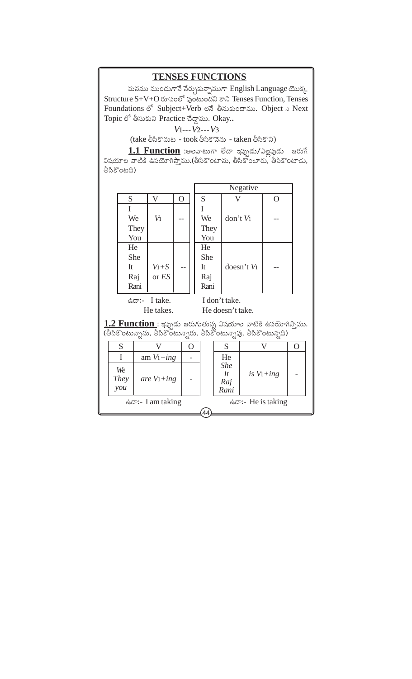## **TENSES FUNCTIONS**

మనము ముందుగానే నేర్చుకున్నాముగా English Language యొక్క Structure S+V+O రూపంలో ఫుంటుందని కాని Tenses Function, Tenses Foundations of Subject+Verb อลิ ย้องร่งออาจีพ. Object a Next Topic లో తీసుకుని Practice చేద్దాము. Okay..

 $V_1$ --- $V_2$ --- $V_3$ 

(take తీసికొనుట - took తీసికొనెను - taken తీసికొని)

1.1 Function :అలవాటుగా లేదా ఇప్పుడు/ఎల్లపుడు జరుగే విషయాల వాటికి ఉపయోగిస్తాము.(తీసికొంటాను, తీసికొంటారు, తీసికొంటాడు, తీసికొంటది)

|                                                                                                                                             |                   |             |                |                      |   |   |   |      |                  |                        | Negative      |   |  |
|---------------------------------------------------------------------------------------------------------------------------------------------|-------------------|-------------|----------------|----------------------|---|---|---|------|------------------|------------------------|---------------|---|--|
|                                                                                                                                             |                   | S           |                | V                    | O |   |   | S    |                  | V                      |               | O |  |
|                                                                                                                                             |                   | I           |                |                      |   |   | I |      |                  |                        |               |   |  |
|                                                                                                                                             |                   | We          |                | $V_1$                |   |   |   | We   |                  | don't V <sub>1</sub>   |               |   |  |
|                                                                                                                                             |                   |             | They           |                      |   |   |   | They |                  |                        |               |   |  |
|                                                                                                                                             |                   |             | You            |                      |   |   |   | You  |                  |                        |               |   |  |
|                                                                                                                                             |                   | He          |                |                      |   |   |   | He   |                  |                        |               |   |  |
|                                                                                                                                             |                   | She         |                |                      |   |   |   | She  |                  |                        |               |   |  |
|                                                                                                                                             |                   | It          |                | $V_1+S$              |   |   |   | It   |                  | doesn't V <sub>1</sub> |               |   |  |
|                                                                                                                                             |                   | Raj         |                | or ES                |   |   |   | Raj  |                  |                        |               |   |  |
|                                                                                                                                             |                   |             | Rani           |                      |   |   |   | Rani |                  |                        |               |   |  |
| ఉದ್:- I take.                                                                                                                               |                   |             |                |                      |   |   |   |      | I don't take.    |                        |               |   |  |
|                                                                                                                                             | He takes.         |             |                |                      |   |   |   |      | He doesn't take. |                        |               |   |  |
|                                                                                                                                             |                   |             |                |                      |   |   |   |      |                  |                        |               |   |  |
| <u>1.2 Function :</u> ఇప్పుడు జరుగుతున్న విషయాల వాటికి ఉపయోగిస్తాము.<br>(తీసికొంటున్నాను, తీసికొంటున్నారు, తీసికొంటున్నావు, తీసికొంటున్నది) |                   |             |                |                      |   |   |   |      |                  |                        |               |   |  |
|                                                                                                                                             |                   |             |                |                      |   |   |   |      |                  |                        |               |   |  |
|                                                                                                                                             |                   | S<br>V<br>O |                |                      | S | V |   | O    |                  |                        |               |   |  |
|                                                                                                                                             | I                 |             |                | am $V_1+$ <i>ing</i> |   |   |   |      |                  | He                     |               |   |  |
|                                                                                                                                             | We<br><b>They</b> |             | are $V_1+$ ing |                      |   |   |   |      |                  | <b>She</b>             |               |   |  |
|                                                                                                                                             |                   |             |                |                      |   |   |   |      | $I_t$            |                        | is $V_1+$ ing |   |  |
|                                                                                                                                             | you               |             |                |                      |   |   |   |      |                  | Raj<br>Rani            |               |   |  |
|                                                                                                                                             |                   |             |                |                      |   |   |   |      |                  |                        |               |   |  |

ఉదా:- I am taking

ఉదా:- He is taking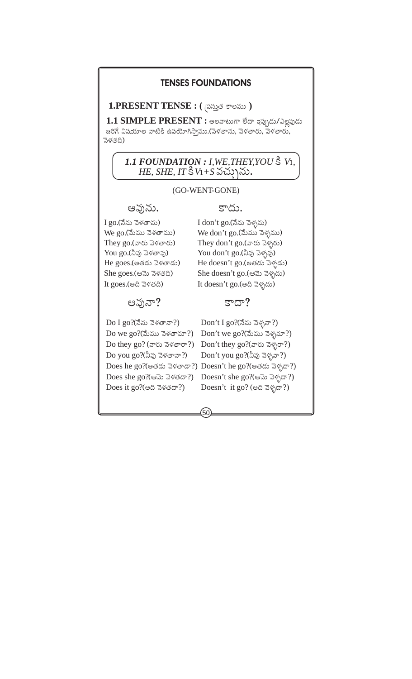### **TENSES FOUNDATIONS**

1.PRESENT TENSE : ( సమ్రత కాలము)

1.1 SIMPLE PRESENT : అలవాటుగా లేదా ఇప్పుడు/ఎల్లపుడు జరిగే విషయాల వాటికి ఉపయోగిస్తాము.(వెళతాను, వెళతారు, వెళతారు, వెళతది)

## 1.1 FOUNDATION : I, WE, THEY, YOU & V1,  $HE$ , SHE, IT  $\frac{8}{3}V_1 + S \propto V_2$

#### (GO-WENT-GONE)

50

అవును.

I go.(నేను వెళతాను)  $We go. (3)$ ము వెళతాము) They  $go.(x \circ \& \exists \& \circ \& \circ \&$ You go.(నీవు వెళతావు) He goes.(అతడు వెళతాడు) She goes.(ఆమె వెళతది) It goes.  $(e \land \exists \forall \& \land)$ 

అవునా?

Do I  $g_0$ ?(నేను వెళతానా?) Do we go?(మేము వెళతామా?) Do they go? (వారు వెళతారా?) Do you go?(నీఫ) వెళతావా?) Does she go?(ಆಮ ವಳತದ್?) Does it go?(అది వెళతదా?)

### కాదు

I don't go.(నేను వెళ్ళను) We don't go.(మేము వెళ్ళము) They don't go.(వారు వెళ్ళరు) You don't go.(నీవు వెళ్ళవు) He doesn't go.(అతడు వెళ్ళడు) She doesn't go.(ఆమె వెళ్ళదు) It doesn't go.(అది వెళ్ళదు)

#### $5^{\circ}$ ದ್?

Don't I go?(నేను వెళ్ళనా?) Don't we go?(మేము వెళ్ళమా?) Don't they go?(వారు వెళ్ళరా?) Don't you go?(నీఫ) వెళ్ళవా?) Does he go?(అతడు వెళతాడా?) Doesn't he go?(అతడు వెళ్ళడా?) Doesn't she go?(ಆಮ ವೆಳ್ಸದ್?) Doesn't it go? (అది వెళ్ళదా?)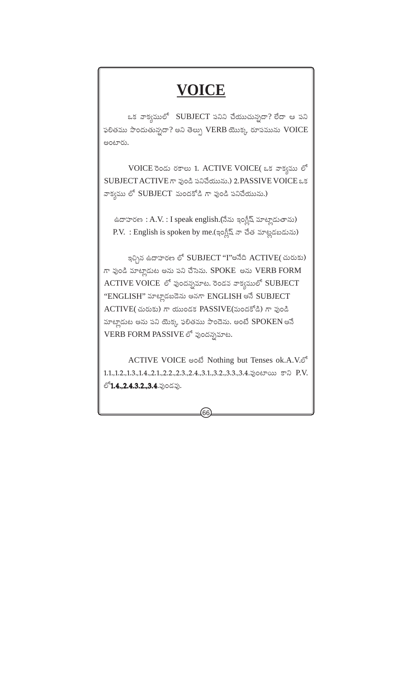# **VOICE**

ఒక వాక్వములో SUBJECT పనిని చేయుచున్నదా? లేదా ఆ పని ఫలితము పొందుతున్నదా? అని తెల్పు VERB యొక్క రూపమును VOICE అంటారు.

VOICE రెండు రకాలు 1. ACTIVE VOICE( ఒక వాక్వము లో SUBJECT ACTIVE గా ఫుండి పనిచేయును.) 2.PASSIVE VOICE ఒక వాక్వము లో SUBJECT మందకోడి గా ఫుండి పనిచేయును.)

ఉదాహరణ: A.V.: I speak english.(నేను ఇంగ్లీష్ మాట్లాడుతాను) P.V. : English is spoken by me.(ఇంగ్లీష్ నా చేత మాట్లడబడును)

ఇచ్చిన ఉదాహరణ లో SUBJECT "I"అనేది ACTIVE( చురుకు) గా ఫుండి మాట్లాడుట అను పని చేసెను. SPOKE అను VERB FORM ACTIVE VOICE లో ఫుందన్నమాట. రెండవ వాక్వములో SUBJECT "ENGLISH" మాట్లాడబడెను అనగా ENGLISH అనే SUBJECT ACTIVE( చురుకు) గా యుండక PASSIVE(మందకోడి) గా ఫుండి మాట్లాడుట అను పని యెక్క ఫలితము పొందెను. అంటే SPOKEN అనే VERB FORM PASSIVE లో ఫుందన్నమాట.

ACTIVE VOICE පංහි Nothing but Tenses ok.A.V.లో 1.1, 1.2, 1.3, 1.4, 2.1, 2.2, 2.3, 2.4, 3.1, 3.2, 3.3, 3.4. JO & ON SO P.V. లో**1.4.,2.4.3.2.,3.4**.వుండవు.

 $66$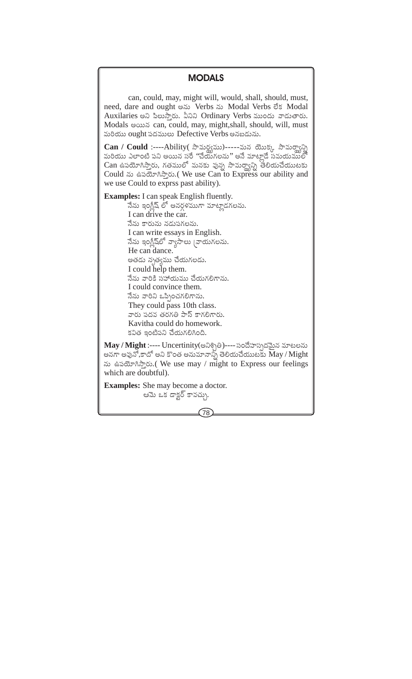## **MODALS**

can, could, may, might will, would, shall, should, must, need, dare and ought  $\infty$  Verbs  $\infty$  Modal Verbs  $\delta$ s Modal Auxilaries అని పిలుసారు. వీనిని Ordinary Verbs ముందు వాడుతారు. Modals wows can, could, may, might, shall, should, will, must మరియు ought పదములు Defective Verbs అనబడును.

Can / Could :----Ability (సామర్థ్యము)-----మన యొక్క సామర్థ్యాన్ని మరియు ఎలాంటి పని అయిన సరే ''చేయగలను'' అనే మాటాడే సమయములో  $\operatorname{Can}$  ఉపయోగిస్తారు, గతములో మనకు వున్న సామర్థ్యాన్ని తలియచేయుటకు Could  $\infty$  ఉపయోగిస్తారు.(We use Can to Express our ability and we use Could to exprss past ability).

**Examples:** I can speak English fluently. నేను ఇంగ్జీష్ లో అనర్గళముగా మాట్లాడగలను.  $\int$  can drive the car నేను కారును నడుపగలను. I can write essays in English. నేను ఇంగ్జీష్లలో వ్యాసాలు |వాయగలను. He can dance అతడు నృత్యము చేయగలడు. I could help them. నేను వారికి పహాయము చేయగలిగాను. Louild convince them నేను వారిని ఒప్పించగలిగాను. They could pass 10th class. వారు పదవ తరగతి పాస్ కాగలిగారు. Kavitha could do homework. కవిత ఇంటిపని చేయగలిగింది.

May / Might :---- Uncertinity(అనిశ్చితి)---- సందేహస్పదమైన మాటలను అనగా అవునో,కాదో అని కొంత అనుమానాన్స్ తెలియచేయుటకు May / Might ను ఉపయోగిస్తారు.(We use may / might to Express our feelings which are doubtful).

**Examples:** She may become a doctor. ఆమె ఒక డాక్టర్ కావచ్చు.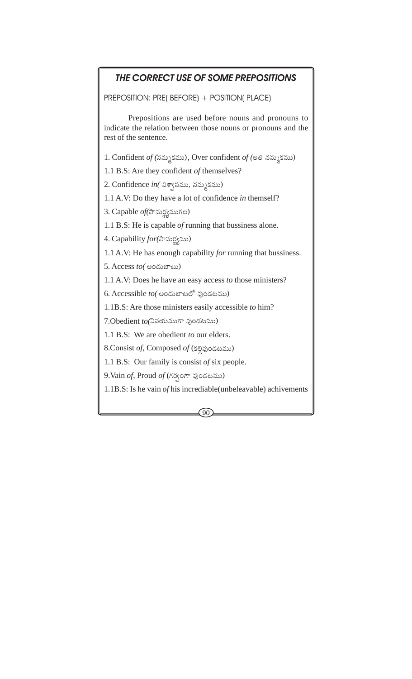# THE CORRECT USE OF SOME PREPOSITIONS

PREPOSITION: PRE( BEFORE) + POSITION( PLACE)

Prepositions are used before nouns and pronouns to indicate the relation between those nouns or pronouns and the rest of the sentence.

1. Confident of (నమ్మకము), Over confident of (అతి నమ్మకము)

1.1 B.S: Are they confident of themselves?

2. Confidence in (విశాసము, నమ్మకము)

1.1 A.V: Do they have a lot of confidence in themself?

3. Capable of (సామర్థముగల)

1.1 B.S: He is capable *of* running that bussiness alone.

4. Capability for (సామర్థ్యము)

1.1 A.V: He has enough capability for running that bussiness.

5. Access to (cocorreso)

1.1 A.V: Does he have an easy access to those ministers?

6. Accessible  $to$  (comes exactly  $\infty$ )

1.1B.S: Are those ministers easily accessible to him?

7.Obedient to (వినయముగా ఫుండటము)

1.1 B.S: We are obedient to our elders.

8.Consist of, Composed of (కల్పిండటము)

1.1 B.S: Our family is consist of six people.

9. Vain of, Proud of (గర్వంగా ఫుండటము)

1.1B.S: Is he vain of his incrediable (unbeleavable) achivements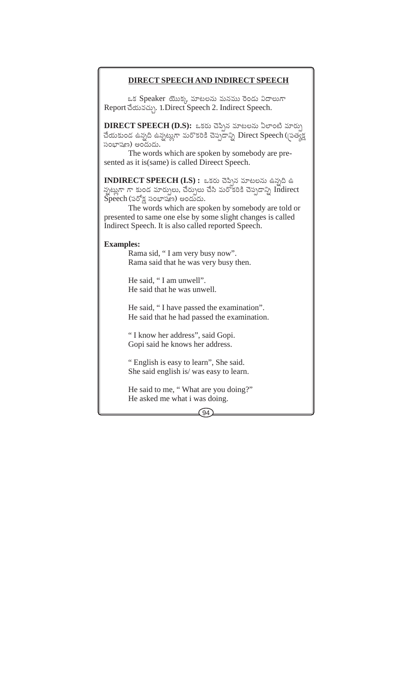#### **DIRECT SPEECH AND INDIRECT SPEECH**

ఒక Speaker యొక్క మాటలను మనము రెండు విదాలుగా Report advastin, 1. Direct Speech 2. Indirect Speech.

 $DIRECT SPECH (D.S):$  ఒకరు చెప్పిన మాటలను ఏలాంటి మార్పు చేయకుండ ఉన్నది ఉన్నట్లుగా మరొకరికి చెప్పడాన్ని Direct Speech ((పత్యక్ష సంబాషణ) అందుదు.

The words which are spoken by somebody are presented as it is (same) is called Direct Speech.

INDIRECT SPEECH  $(I.S)$ : ఒకరు చెప్పిన మాటలను ఉన్నది ఉ న్నట్లుగా గా కుండ మార్పులు, చేర్పులు చేసి మరోకరికి చెప్పడాన్ని Indirect  $\widetilde{\mathrm{Spec}}$ h (పరోక్ష సంభాషణ) అందుదు.

The words which are spoken by somebody are told or presented to same one else by some slight changes is called Indirect Speech. It is also called reported Speech.

#### **Examples:**

Rama sid, "I am very busy now". Rama said that he was very busy then.

He said. "I am unwell". He said that he was unwell.

He said, "I have passed the examination". He said that he had passed the examination.

"I know her address", said Gopi. Gopi said he knows her address.

"English is easy to learn", She said. She said english is/was easy to learn.

He said to me, "What are you doing?" He asked me what i was doing.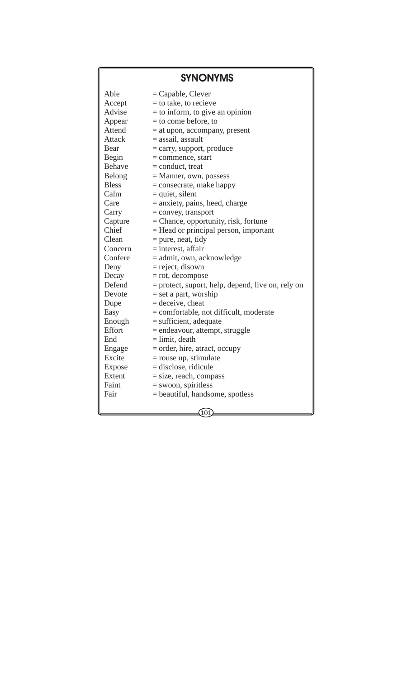# **SYNONYMS**

| Able             |                                                   |
|------------------|---------------------------------------------------|
|                  | $=$ Capable, Clever<br>$=$ to take, to recieve    |
| Accept<br>Advise |                                                   |
|                  | $=$ to inform, to give an opinion                 |
| Appear           | $=$ to come before, to                            |
| Attend           | $=$ at upon, accompany, present                   |
| Attack           | = assail, assault                                 |
| Bear             | $=$ carry, support, produce                       |
| Begin            | $=$ commence, start                               |
| Behave           | $=$ conduct, treat                                |
| Belong           | $=$ Manner, own, possess                          |
| <b>Bless</b>     | $=$ consecrate, make happy                        |
| Calm             | $=$ quiet, silent                                 |
| Care             | $=$ anxiety, pains, heed, charge                  |
| Carry            | $=$ convey, transport                             |
| Capture          | = Chance, opportunity, risk, fortune              |
| Chief            | $=$ Head or principal person, important           |
| Clean            | $=$ pure, neat, tidy                              |
| Concern          | $=$ interest, affair                              |
| Confere          | = admit, own, acknowledge                         |
| Deny             | $=$ reject, disown                                |
| Decay            | $=$ rot, decompose                                |
| Defend           | = protect, suport, help, depend, live on, rely on |
| Devote           | $=$ set a part, worship                           |
| Dupe             | $=$ deceive, cheat                                |
| Easy             | = comfortable, not difficult, moderate            |
| Enough           | $=$ sufficient, adequate                          |
| Effort           | = endeavour, attempt, struggle                    |
| End              | $=$ limit, death                                  |
| Engage           | = order, hire, atract, occupy                     |
| Excite           | $=$ rouse up, stimulate                           |
| <b>Expose</b>    | $=$ disclose, ridicule                            |
| Extent           | $=$ size, reach, compass                          |
| Faint            | $=$ swoon, spiritless                             |
| Fair             | $=$ beautiful, handsome, spotless                 |
|                  |                                                   |
|                  |                                                   |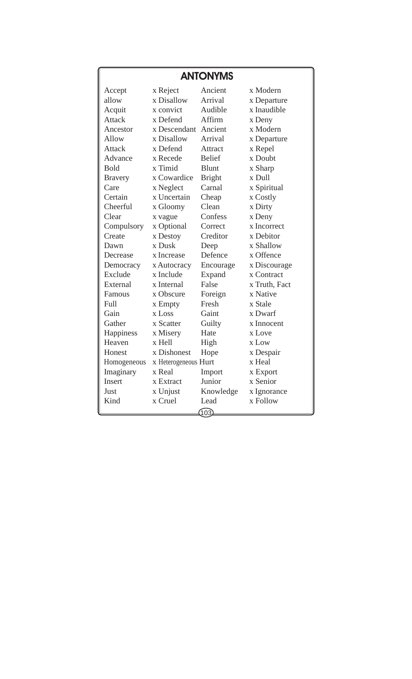# **ANTONYMS**

| Accept         | x Reject                       | Ancient       | x Modern      |  |  |
|----------------|--------------------------------|---------------|---------------|--|--|
| allow          | x Disallow                     | Arrival       | x Departure   |  |  |
| Acquit         | x convict                      | Audible       | x Inaudible   |  |  |
| Attack         | x Defend                       | Affirm        | x Deny        |  |  |
| Ancestor       | x Descendant                   | Ancient       | x Modern      |  |  |
| Allow          | x Disallow                     | Arrival       | x Departure   |  |  |
| <b>Attack</b>  | x Defend                       | Attract       | x Repel       |  |  |
| Advance        | x Recede                       | <b>Belief</b> | x Doubt       |  |  |
| <b>Bold</b>    | x Timid                        | <b>Blunt</b>  | x Sharp       |  |  |
| <b>Bravery</b> | x Cowardice                    | <b>Bright</b> | x Dull        |  |  |
| Care           | x Neglect                      | Carnal        | x Spiritual   |  |  |
| Certain        | x Uncertain                    | Cheap         | x Costly      |  |  |
| Cheerful       | x Gloomy                       | Clean         | x Dirty       |  |  |
| Clear          | x vague                        | Confess       | x Deny        |  |  |
| Compulsory     | x Optional                     | Correct       | x Incorrect   |  |  |
| Create         | x Destoy                       | Creditor      | x Debitor     |  |  |
| Dawn           | x Dusk                         | Deep          | x Shallow     |  |  |
| Decrease       | x Increase                     | Defence       | x Offence     |  |  |
| Democracy      | x Autocracy                    | Encourage     | x Discourage  |  |  |
| Exclude        | x Include                      | Expand        | x Contract    |  |  |
| External       | x Internal                     | False         | x Truth, Fact |  |  |
| Famous         | x Obscure                      | Foreign       | x Native      |  |  |
| Full           | x Empty                        | Fresh         | x Stale       |  |  |
| Gain           | x Loss                         | Gaint         | x Dwarf       |  |  |
| Gather         | x Scatter                      | Guilty        | x Innocent    |  |  |
| Happiness      | x Misery                       | Hate          | x Love        |  |  |
| Heaven         | x Hell                         | High          | x Low         |  |  |
| Honest         | x Dishonest                    | Hope          | x Despair     |  |  |
| Homogeneous    | x Heal<br>x Heterogeneous Hurt |               |               |  |  |
| Imaginary      | x Real                         | Import        | x Export      |  |  |
| <b>Insert</b>  | x Extract                      | Junior        | x Senior      |  |  |
| Just           | x Unjust                       | Knowledge     | x Ignorance   |  |  |
| Kind           | x Cruel                        | Lead          | x Follow      |  |  |
|                |                                | (103)         |               |  |  |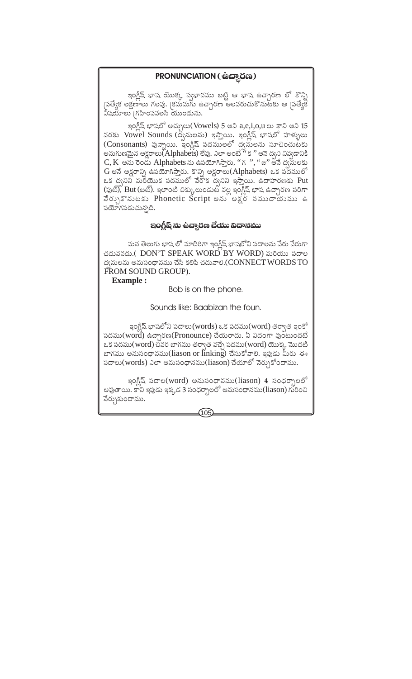## PRONUNCIATION ( မ်းဆ္သ္ၿပီး )

ఇంగ్లీష్ భాష యొక్క స్వభావము బట్టి ఆ భాష ఉచ్చారణ లో కొన్ని |పత్యేక లక్షణాలు గలవు. |కమమగు ఉచ్ఛారణ అలవరుచుకొనుటకు ఆ |పత్యేక విషయాలు (గహింపవలసి యుండును.

ఇంగ్లీష్ భాషలో అచ్చులు(Vowels) 5 అవి  $a,e,i,o,u$  లు కాని అవి 15 వరకు Vowel Sounds (ద్వనులను) ఇస్తాయి. ఇంగ్లీష్ భాషలో హళ్ళులు (Consonants) పున్నాయి. ఇంగ్లీష్ పదములలో ద్వసులను సూచించుటకు అనుగుణమైన అక్షరాలు(Alphabets) లేవు. ఎలా అంటే '' క '' అనె ద్వని నివ్వడానికి  $C, K$  అను రెండు Alphabets ను ఉపయోగిస్తారు, "గ ", "జ" అనే ద్యసులకు G అనే అక్షరాన్ని ఉపయోగిస్తారు. కొన్ని అక్షరాలు(Alphabets) ఒక పదములో ఒక ద్వనిని మంయుక పదములో వేరోక ద్వనిని ఇస్తాయి. ఉదాహరణకు Put (ఫుట్), But (బట్). ఇలాంటి చిక్కులుండుట వల్ల ఇంగ్లీష్ భాష ఉచ్చారణ సరిగా నేర్భుకొనుటకు Phonetic Script అను అక్షర నముదాయము ఉ పయోగపడుచున్నది.

#### ఇంగ్లీష్ ను ఉచ్చారణ చేయు విదానము

మన తెలుగు భాష లో మాదిరిగా ఇంగీష్ భాషలోని పదాలను వేరు వేరుగా చదువవదు.( DON'T SPEAK WORD BY WORD) మరియు పదాల ద్వనులను అనుసంధానము చేసి కలిపి చదువాలి.(CONNECT WORDS TO FROM SOUND GROUP).

**Example:** 

Bob is on the phone.

Sounds like: Baabizan the foun.

ఇంగ్లీష్ భాషలోని పదాలు(words) ఒక పదము(word) తర్వాత ఇంకో పదము(word) ఉచ్చారణ(Pronounce) చేయరాదు. ఏ విదంగా వుంటుందటే ఒక పదము(word) చివర బాగము తర్వాత వచ్చే పదము(word) యొక్క మొదటి బాగము అనుసంధానము(liason or linking) చేసుకోవాలి. ఇఫ్రడు మీరు ఈ పదాలు(words) ఎలా అనుసంధానము(liason) చేయాలో నెర్నుకోందాము.

ఇంగ్జీష్ పదాల(word) అనుసంధానము(liason) 4 సంధర్భాలలో .<br>అవుతాయి. కానీ ఇపుడు ఇక్కడ 3 సంధర్భాలలో అనుసంధానము(liason) గురించి నేర్చుకుందాము.

 $105$